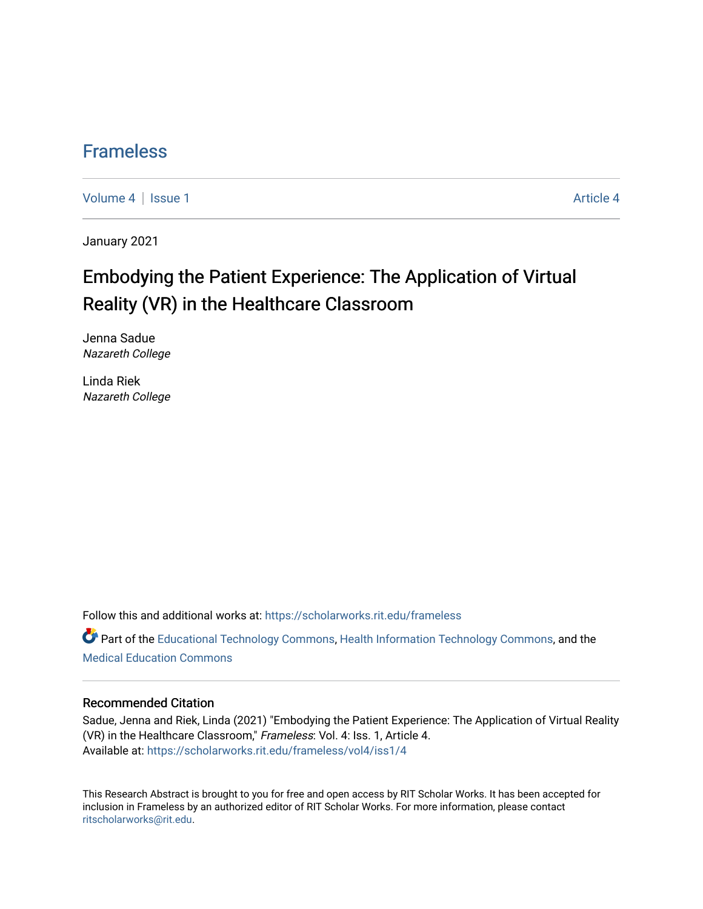### [Frameless](https://scholarworks.rit.edu/frameless)

[Volume 4](https://scholarworks.rit.edu/frameless/vol4) | [Issue 1](https://scholarworks.rit.edu/frameless/vol4/iss1) [Article 4](https://scholarworks.rit.edu/frameless/vol4/iss1/4) | Article 4 Article 4 | Article 4 Article 4 | Article 4 | Article 4 | Article 4 |

January 2021

## Embodying the Patient Experience: The Application of Virtual Reality (VR) in the Healthcare Classroom

Jenna Sadue Nazareth College

Linda Riek Nazareth College

Follow this and additional works at: [https://scholarworks.rit.edu/frameless](https://scholarworks.rit.edu/frameless?utm_source=scholarworks.rit.edu%2Fframeless%2Fvol4%2Fiss1%2F4&utm_medium=PDF&utm_campaign=PDFCoverPages)

Part of the [Educational Technology Commons,](https://network.bepress.com/hgg/discipline/1415?utm_source=scholarworks.rit.edu%2Fframeless%2Fvol4%2Fiss1%2F4&utm_medium=PDF&utm_campaign=PDFCoverPages) [Health Information Technology Commons,](https://network.bepress.com/hgg/discipline/1239?utm_source=scholarworks.rit.edu%2Fframeless%2Fvol4%2Fiss1%2F4&utm_medium=PDF&utm_campaign=PDFCoverPages) and the [Medical Education Commons](https://network.bepress.com/hgg/discipline/1125?utm_source=scholarworks.rit.edu%2Fframeless%2Fvol4%2Fiss1%2F4&utm_medium=PDF&utm_campaign=PDFCoverPages) 

#### Recommended Citation

Sadue, Jenna and Riek, Linda (2021) "Embodying the Patient Experience: The Application of Virtual Reality (VR) in the Healthcare Classroom," Frameless: Vol. 4: Iss. 1, Article 4. Available at: [https://scholarworks.rit.edu/frameless/vol4/iss1/4](https://scholarworks.rit.edu/frameless/vol4/iss1/4?utm_source=scholarworks.rit.edu%2Fframeless%2Fvol4%2Fiss1%2F4&utm_medium=PDF&utm_campaign=PDFCoverPages)

This Research Abstract is brought to you for free and open access by RIT Scholar Works. It has been accepted for inclusion in Frameless by an authorized editor of RIT Scholar Works. For more information, please contact [ritscholarworks@rit.edu](mailto:ritscholarworks@rit.edu).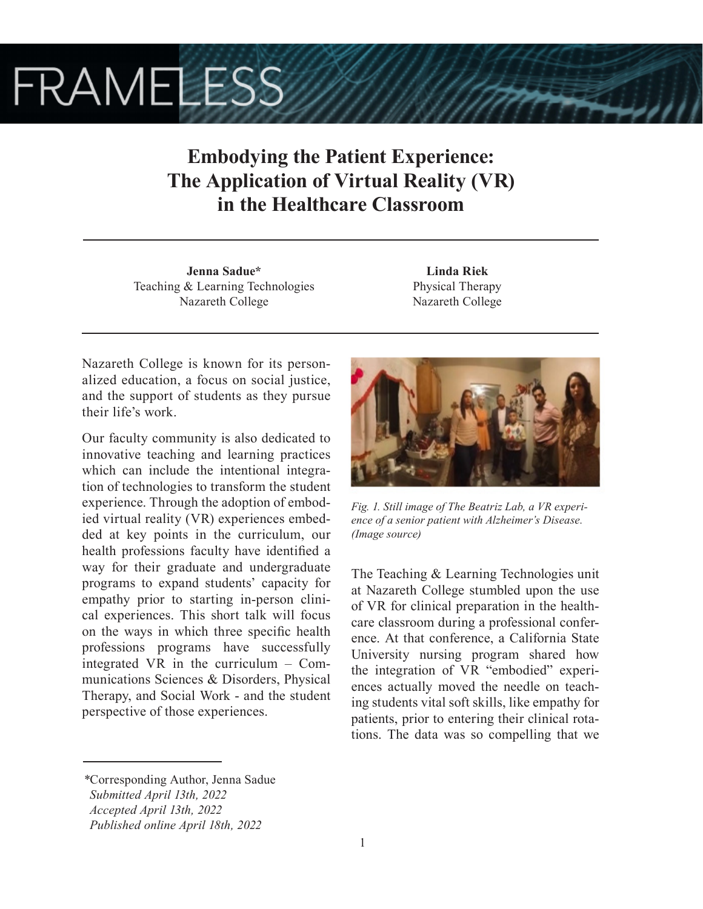# **FRAMELESS**

## **Embodying the Patient Experience: The Application of Virtual Reality (VR) in the Healthcare Classroom**

**Jenna Sadue\*** Teaching & Learning Technologies Nazareth College

**Linda Riek** Physical Therapy Nazareth College

Nazareth College is known for its personalized education, a focus on social justice, and the support of students as they pursue their life's work.

Our faculty community is also dedicated to innovative teaching and learning practices which can include the intentional integration of technologies to transform the student experience. Through the adoption of embodied virtual reality (VR) experiences embedded at key points in the curriculum, our health professions faculty have identified a way for their graduate and undergraduate programs to expand students' capacity for empathy prior to starting in-person clinical experiences. This short talk will focus on the ways in which three specific health professions programs have successfully integrated VR in the curriculum – Communications Sciences & Disorders, Physical Therapy, and Social Work - and the student perspective of those experiences.



*Fig. 1. Still image of The Beatriz Lab, a VR experience of a senior patient with Alzheimer's Disease. (Image source)*

The Teaching & Learning Technologies unit at Nazareth College stumbled upon the use of VR for clinical preparation in the healthcare classroom during a professional conference. At that conference, a California State University nursing program shared how the integration of VR "embodied" experiences actually moved the needle on teaching students vital soft skills, like empathy for patients, prior to entering their clinical rotations. The data was so compelling that we

*<sup>\*</sup>*Corresponding Author, Jenna Sadue  *Submitted April 13th, 2022 Accepted April 13th, 2022 Published online April 18th, 2022*